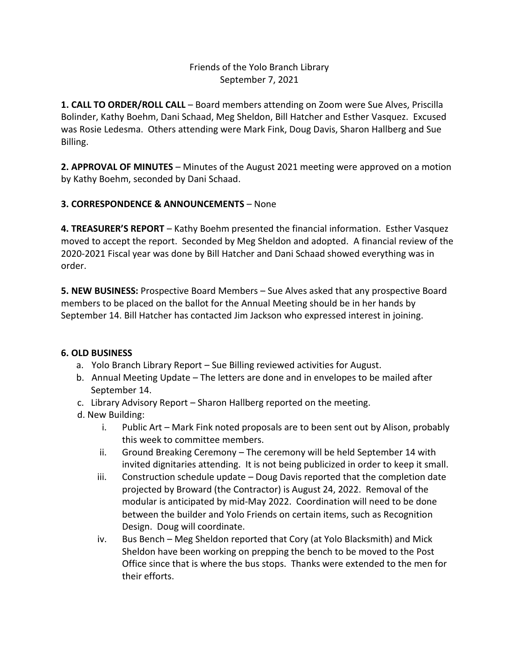## Friends of the Yolo Branch Library September 7, 2021

**1. CALL TO ORDER/ROLL CALL** – Board members attending on Zoom were Sue Alves, Priscilla Bolinder, Kathy Boehm, Dani Schaad, Meg Sheldon, Bill Hatcher and Esther Vasquez. Excused was Rosie Ledesma. Others attending were Mark Fink, Doug Davis, Sharon Hallberg and Sue Billing.

**2. APPROVAL OF MINUTES** – Minutes of the August 2021 meeting were approved on a motion by Kathy Boehm, seconded by Dani Schaad.

## **3. CORRESPONDENCE & ANNOUNCEMENTS** – None

**4. TREASURER'S REPORT** – Kathy Boehm presented the financial information. Esther Vasquez moved to accept the report. Seconded by Meg Sheldon and adopted. A financial review of the 2020-2021 Fiscal year was done by Bill Hatcher and Dani Schaad showed everything was in order.

**5. NEW BUSINESS:** Prospective Board Members – Sue Alves asked that any prospective Board members to be placed on the ballot for the Annual Meeting should be in her hands by September 14. Bill Hatcher has contacted Jim Jackson who expressed interest in joining.

## **6. OLD BUSINESS**

- a. Yolo Branch Library Report Sue Billing reviewed activities for August.
- b. Annual Meeting Update The letters are done and in envelopes to be mailed after September 14.
- c. Library Advisory Report Sharon Hallberg reported on the meeting.
- d. New Building:
	- i. Public Art Mark Fink noted proposals are to been sent out by Alison, probably this week to committee members.
	- ii. Ground Breaking Ceremony The ceremony will be held September 14 with invited dignitaries attending. It is not being publicized in order to keep it small.
	- iii. Construction schedule update Doug Davis reported that the completion date projected by Broward (the Contractor) is August 24, 2022. Removal of the modular is anticipated by mid-May 2022. Coordination will need to be done between the builder and Yolo Friends on certain items, such as Recognition Design. Doug will coordinate.
	- iv. Bus Bench Meg Sheldon reported that Cory (at Yolo Blacksmith) and Mick Sheldon have been working on prepping the bench to be moved to the Post Office since that is where the bus stops. Thanks were extended to the men for their efforts.